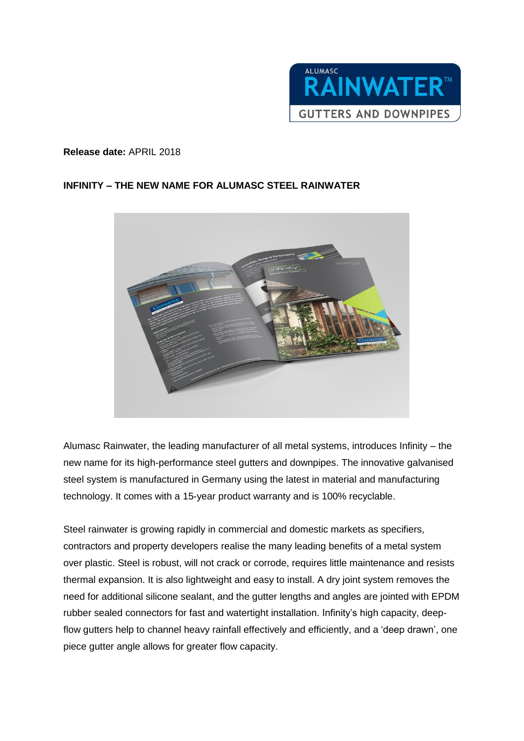

## **Release date:** APRIL 2018

## **INFINITY – THE NEW NAME FOR ALUMASC STEEL RAINWATER**



Alumasc Rainwater, the leading manufacturer of all metal systems, introduces Infinity – the new name for its high-performance steel gutters and downpipes. The innovative galvanised steel system is manufactured in Germany using the latest in material and manufacturing technology. It comes with a 15-year product warranty and is 100% recyclable.

Steel rainwater is growing rapidly in commercial and domestic markets as specifiers, contractors and property developers realise the many leading benefits of a metal system over plastic. Steel is robust, will not crack or corrode, requires little maintenance and resists thermal expansion. It is also lightweight and easy to install. A dry joint system removes the need for additional silicone sealant, and the gutter lengths and angles are jointed with EPDM rubber sealed connectors for fast and watertight installation. Infinity's high capacity, deepflow gutters help to channel heavy rainfall effectively and efficiently, and a 'deep drawn', one piece gutter angle allows for greater flow capacity.